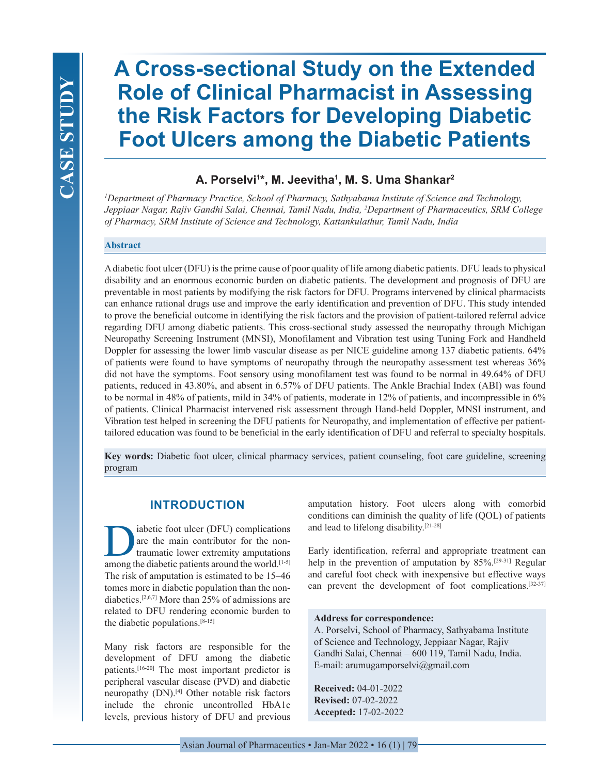# **A Cross-sectional Study on the Extended Role of Clinical Pharmacist in Assessing the Risk Factors for Developing Diabetic Foot Ulcers among the Diabetic Patients**

# **A. Porselvi1 \*, M. Jeevitha1 , M. S. Uma Shankar2**

*1 Department of Pharmacy Practice, School of Pharmacy, Sathyabama Institute of Science and Technology, Jeppiaar Nagar, Rajiv Gandhi Salai, Chennai, Tamil Nadu, India, 2 Department of  Pharmaceutics, SRM College of Pharmacy, SRM Institute of Science and Technology, Kattankulathur, Tamil Nadu, India*

## **Abstract**

A diabetic foot ulcer (DFU) is the prime cause of poor quality of life among diabetic patients. DFU leads to physical disability and an enormous economic burden on diabetic patients. The development and prognosis of DFU are preventable in most patients by modifying the risk factors for DFU. Programs intervened by clinical pharmacists can enhance rational drugs use and improve the early identification and prevention of DFU. This study intended to prove the beneficial outcome in identifying the risk factors and the provision of patient-tailored referral advice regarding DFU among diabetic patients. This cross-sectional study assessed the neuropathy through Michigan Neuropathy Screening Instrument (MNSI), Monofilament and Vibration test using Tuning Fork and Handheld Doppler for assessing the lower limb vascular disease as per NICE guideline among 137 diabetic patients. 64% of patients were found to have symptoms of neuropathy through the neuropathy assessment test whereas 36% did not have the symptoms. Foot sensory using monofilament test was found to be normal in 49.64% of DFU patients, reduced in 43.80%, and absent in 6.57% of DFU patients. The Ankle Brachial Index (ABI) was found to be normal in 48% of patients, mild in 34% of patients, moderate in 12% of patients, and incompressible in 6% of patients. Clinical Pharmacist intervened risk assessment through Hand-held Doppler, MNSI instrument, and Vibration test helped in screening the DFU patients for Neuropathy, and implementation of effective per patienttailored education was found to be beneficial in the early identification of DFU and referral to specialty hospitals.

**Key words:** Diabetic foot ulcer, clinical pharmacy services, patient counseling, foot care guideline, screening program

# **INTRODUCTION**

abetic foot ulcer (DFU) complications<br>are the main contributor for the non-<br>traumatic lower extremity amputations<br>among the diabetic patients around the world [1-5] are the main contributor for the nontraumatic lower extremity amputations among the diabetic patients around the world.[1-5] The risk of amputation is estimated to be 15–46 tomes more in diabetic population than the nondiabetics.[2,6,7] More than 25% of admissions are related to DFU rendering economic burden to the diabetic populations.[8-15]

Many risk factors are responsible for the development of DFU among the diabetic patients.[16-20] The most important predictor is peripheral vascular disease (PVD) and diabetic neuropathy (DN).[4] Other notable risk factors include the chronic uncontrolled HbA1c levels, previous history of DFU and previous

amputation history. Foot ulcers along with comorbid conditions can diminish the quality of life (QOL) of patients and lead to lifelong disability.[21-28]

Early identification, referral and appropriate treatment can help in the prevention of amputation by 85%.<sup>[29-31]</sup> Regular and careful foot check with inexpensive but effective ways can prevent the development of foot complications.[32-37]

## **Address for correspondence:**

A. Porselvi, School of Pharmacy, Sathyabama Institute of Science and Technology, Jeppiaar Nagar, Rajiv Gandhi Salai, Chennai – 600 119, Tamil Nadu, India. E-mail: arumugamporselvi@gmail.com

**Received:** 04-01-2022 **Revised:** 07-02-2022 **Accepted:** 17-02-2022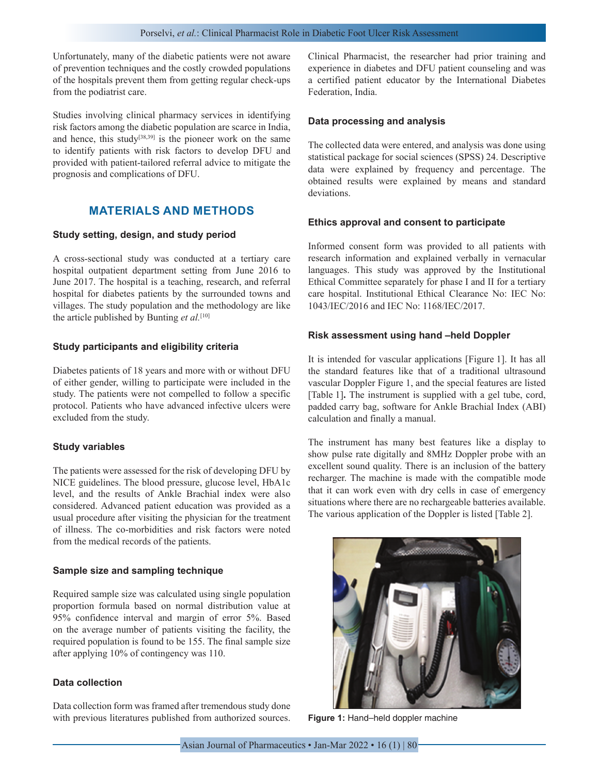Unfortunately, many of the diabetic patients were not aware of prevention techniques and the costly crowded populations of the hospitals prevent them from getting regular check-ups from the podiatrist care.

Studies involving clinical pharmacy services in identifying risk factors among the diabetic population are scarce in India, and hence, this study<sup>[38,39]</sup> is the pioneer work on the same to identify patients with risk factors to develop DFU and provided with patient-tailored referral advice to mitigate the prognosis and complications of DFU.

# **MATERIALS AND METHODS**

#### **Study setting, design, and study period**

A cross-sectional study was conducted at a tertiary care hospital outpatient department setting from June 2016 to June 2017. The hospital is a teaching, research, and referral hospital for diabetes patients by the surrounded towns and villages. The study population and the methodology are like the article published by Bunting *et al.*[10]

### **Study participants and eligibility criteria**

Diabetes patients of 18 years and more with or without DFU of either gender, willing to participate were included in the study. The patients were not compelled to follow a specific protocol. Patients who have advanced infective ulcers were excluded from the study.

## **Study variables**

The patients were assessed for the risk of developing DFU by NICE guidelines. The blood pressure, glucose level, HbA1c level, and the results of Ankle Brachial index were also considered. Advanced patient education was provided as a usual procedure after visiting the physician for the treatment of illness. The co-morbidities and risk factors were noted from the medical records of the patients.

#### **Sample size and sampling technique**

Required sample size was calculated using single population proportion formula based on normal distribution value at 95% confidence interval and margin of error 5%. Based on the average number of patients visiting the facility, the required population is found to be 155. The final sample size after applying 10% of contingency was 110.

## **Data collection**

Data collection form was framed after tremendous study done with previous literatures published from authorized sources. Clinical Pharmacist, the researcher had prior training and experience in diabetes and DFU patient counseling and was a certified patient educator by the International Diabetes Federation, India.

#### **Data processing and analysis**

The collected data were entered, and analysis was done using statistical package for social sciences (SPSS) 24. Descriptive data were explained by frequency and percentage. The obtained results were explained by means and standard deviations.

#### **Ethics approval and consent to participate**

Informed consent form was provided to all patients with research information and explained verbally in vernacular languages. This study was approved by the Institutional Ethical Committee separately for phase I and II for a tertiary care hospital. Institutional Ethical Clearance No: IEC No: 1043/IEC/2016 and IEC No: 1168/IEC/2017.

#### **Risk assessment using hand –held Doppler**

It is intended for vascular applications [Figure 1]. It has all the standard features like that of a traditional ultrasound vascular Doppler Figure 1, and the special features are listed [Table 1]**.** The instrument is supplied with a gel tube, cord, padded carry bag, software for Ankle Brachial Index (ABI) calculation and finally a manual.

The instrument has many best features like a display to show pulse rate digitally and 8MHz Doppler probe with an excellent sound quality. There is an inclusion of the battery recharger. The machine is made with the compatible mode that it can work even with dry cells in case of emergency situations where there are no rechargeable batteries available. The various application of the Doppler is listed [Table 2].



**Figure 1:** Hand–held doppler machine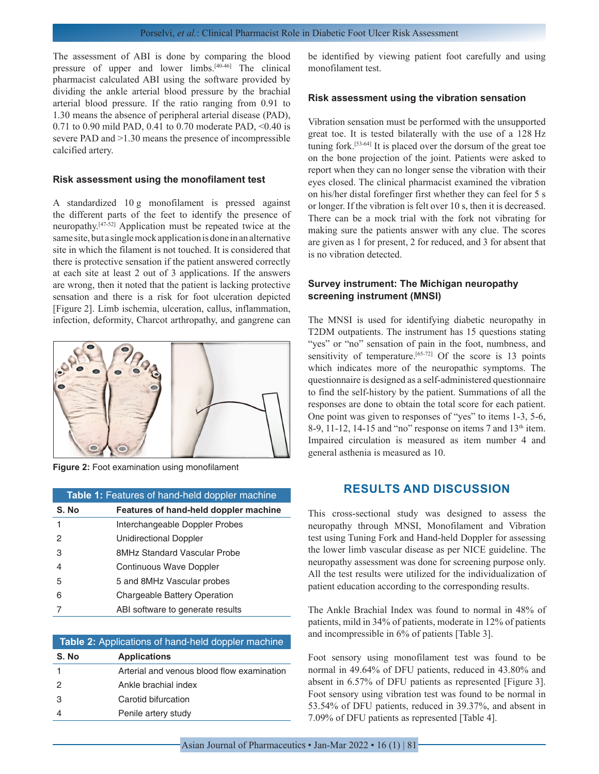The assessment of ABI is done by comparing the blood pressure of upper and lower limbs.[40-46] The clinical pharmacist calculated ABI using the software provided by dividing the ankle arterial blood pressure by the brachial arterial blood pressure. If the ratio ranging from 0.91 to 1.30 means the absence of peripheral arterial disease (PAD), 0.71 to 0.90 mild PAD, 0.41 to 0.70 moderate PAD, <0.40 is severe PAD and  $>1.30$  means the presence of incompressible calcified artery.

#### **Risk assessment using the monofilament test**

A standardized 10 g monofilament is pressed against the different parts of the feet to identify the presence of neuropathy.[47-52] Application must be repeated twice at the same site, but a single mock application is done in an alternative site in which the filament is not touched. It is considered that there is protective sensation if the patient answered correctly at each site at least 2 out of 3 applications. If the answers are wrong, then it noted that the patient is lacking protective sensation and there is a risk for foot ulceration depicted [Figure 2]. Limb ischemia, ulceration, callus, inflammation, infection, deformity, Charcot arthropathy, and gangrene can



**Figure 2:** Foot examination using monofilament

| Table 1: Features of hand-held doppler machine |                                       |  |
|------------------------------------------------|---------------------------------------|--|
| S. No                                          | Features of hand-held doppler machine |  |
| 1                                              | Interchangeable Doppler Probes        |  |
| 2                                              | Unidirectional Doppler                |  |
| 3                                              | 8MHz Standard Vascular Probe          |  |
| 4                                              | Continuous Wave Doppler               |  |
| 5                                              | 5 and 8MHz Vascular probes            |  |
| 6                                              | Chargeable Battery Operation          |  |
|                                                | ABI software to generate results      |  |

| <b>Table 2:</b> Applications of hand-held doppler machine |                                            |  |
|-----------------------------------------------------------|--------------------------------------------|--|
| S. No                                                     | <b>Applications</b>                        |  |
|                                                           | Arterial and venous blood flow examination |  |
| $\mathcal{P}$                                             | Ankle brachial index                       |  |
| 3                                                         | Carotid bifurcation                        |  |
|                                                           | Penile artery study                        |  |

be identified by viewing patient foot carefully and using monofilament test.

#### **Risk assessment using the vibration sensation**

Vibration sensation must be performed with the unsupported great toe. It is tested bilaterally with the use of a 128 Hz tuning fork.[53-64] It is placed over the dorsum of the great toe on the bone projection of the joint. Patients were asked to report when they can no longer sense the vibration with their eyes closed. The clinical pharmacist examined the vibration on his/her distal forefinger first whether they can feel for 5 s or longer. If the vibration is felt over 10 s, then it is decreased. There can be a mock trial with the fork not vibrating for making sure the patients answer with any clue. The scores are given as 1 for present, 2 for reduced, and 3 for absent that is no vibration detected.

# **Survey instrument: The Michigan neuropathy screening instrument (MNSI)**

The MNSI is used for identifying diabetic neuropathy in T2DM outpatients. The instrument has 15 questions stating "yes" or "no" sensation of pain in the foot, numbness, and sensitivity of temperature.<sup>[65-72]</sup> Of the score is 13 points which indicates more of the neuropathic symptoms. The questionnaire is designed as a self-administered questionnaire to find the self-history by the patient. Summations of all the responses are done to obtain the total score for each patient. One point was given to responses of "yes" to items 1-3, 5-6, 8-9, 11-12, 14-15 and "no" response on items 7 and  $13<sup>th</sup>$  item. Impaired circulation is measured as item number 4 and general asthenia is measured as 10.

# **RESULTS AND DISCUSSION**

This cross-sectional study was designed to assess the neuropathy through MNSI, Monofilament and Vibration test using Tuning Fork and Hand-held Doppler for assessing the lower limb vascular disease as per NICE guideline. The neuropathy assessment was done for screening purpose only. All the test results were utilized for the individualization of patient education according to the corresponding results.

The Ankle Brachial Index was found to normal in 48% of patients, mild in 34% of patients, moderate in 12% of patients and incompressible in 6% of patients [Table 3].

Foot sensory using monofilament test was found to be normal in 49.64% of DFU patients, reduced in 43.80% and absent in 6.57% of DFU patients as represented [Figure 3]. Foot sensory using vibration test was found to be normal in 53.54% of DFU patients, reduced in 39.37%, and absent in 7.09% of DFU patients as represented [Table 4].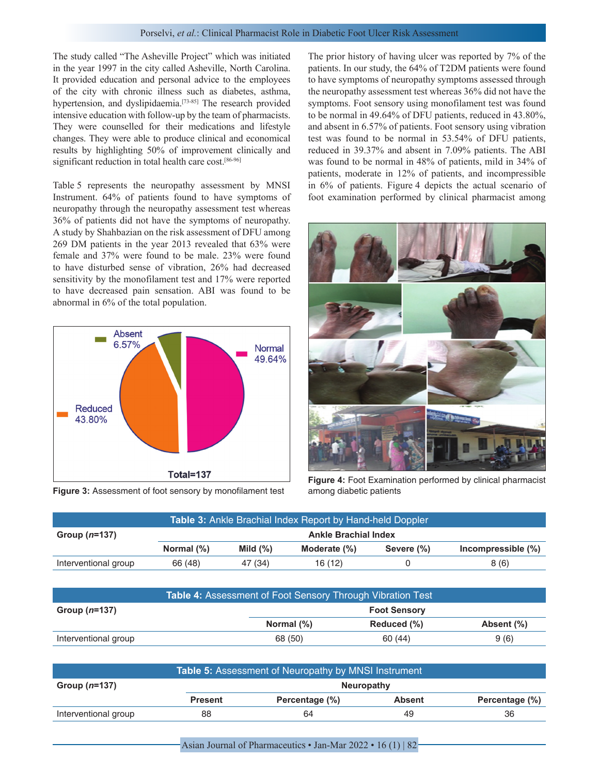The study called "The Asheville Project" which was initiated in the year 1997 in the city called Asheville, North Carolina. It provided education and personal advice to the employees of the city with chronic illness such as diabetes, asthma, hypertension, and dyslipidaemia.<sup>[73-85]</sup> The research provided intensive education with follow-up by the team of pharmacists. They were counselled for their medications and lifestyle changes. They were able to produce clinical and economical results by highlighting 50% of improvement clinically and significant reduction in total health care cost.<sup>[86-96]</sup>

Table 5 represents the neuropathy assessment by MNSI Instrument. 64% of patients found to have symptoms of neuropathy through the neuropathy assessment test whereas 36% of patients did not have the symptoms of neuropathy. A study by Shahbazian on the risk assessment of DFU among 269 DM patients in the year 2013 revealed that 63% were female and 37% were found to be male. 23% were found to have disturbed sense of vibration, 26% had decreased sensitivity by the monofilament test and 17% were reported to have decreased pain sensation. ABI was found to be abnormal in 6% of the total population.



**Figure 3:** Assessment of foot sensory by monofilament test among diabetic patients

The prior history of having ulcer was reported by 7% of the patients. In our study, the 64% of T2DM patients were found to have symptoms of neuropathy symptoms assessed through the neuropathy assessment test whereas 36% did not have the symptoms. Foot sensory using monofilament test was found to be normal in 49.64% of DFU patients, reduced in 43.80%, and absent in 6.57% of patients. Foot sensory using vibration test was found to be normal in 53.54% of DFU patients, reduced in 39.37% and absent in 7.09% patients. The ABI was found to be normal in 48% of patients, mild in 34% of patients, moderate in 12% of patients, and incompressible in 6% of patients. Figure 4 depicts the actual scenario of foot examination performed by clinical pharmacist among



**Figure 4:** Foot Examination performed by clinical pharmacist

| <b>Table 3:</b> Ankle Brachial Index Report by Hand-held Doppler |                             |             |              |            |                    |  |
|------------------------------------------------------------------|-----------------------------|-------------|--------------|------------|--------------------|--|
| Group $(n=137)$                                                  | <b>Ankle Brachial Index</b> |             |              |            |                    |  |
|                                                                  | Normal $(\%)$               | Mild $(\%)$ | Moderate (%) | Severe (%) | Incompressible (%) |  |
| Interventional group                                             | 66 (48)                     | 47 (34)     | 16(12)       |            | 8(6)               |  |

| <b>Table 4: Assessment of Foot Sensory Through Vibration Test</b> |                     |             |            |  |  |
|-------------------------------------------------------------------|---------------------|-------------|------------|--|--|
| Group $(n=137)$                                                   | <b>Foot Sensory</b> |             |            |  |  |
|                                                                   | Normal (%)          | Reduced (%) | Absent (%) |  |  |
| Interventional group                                              | 68 (50)             | 60(44)      | 9(6)       |  |  |

| Table 5: Assessment of Neuropathy by MNSI Instrument |                   |                |               |                |  |
|------------------------------------------------------|-------------------|----------------|---------------|----------------|--|
| Group ( <i>n</i> =137)                               | <b>Neuropathy</b> |                |               |                |  |
|                                                      | <b>Present</b>    | Percentage (%) | <b>Absent</b> | Percentage (%) |  |
| Interventional group                                 | 88                | 64             | 49            | 36             |  |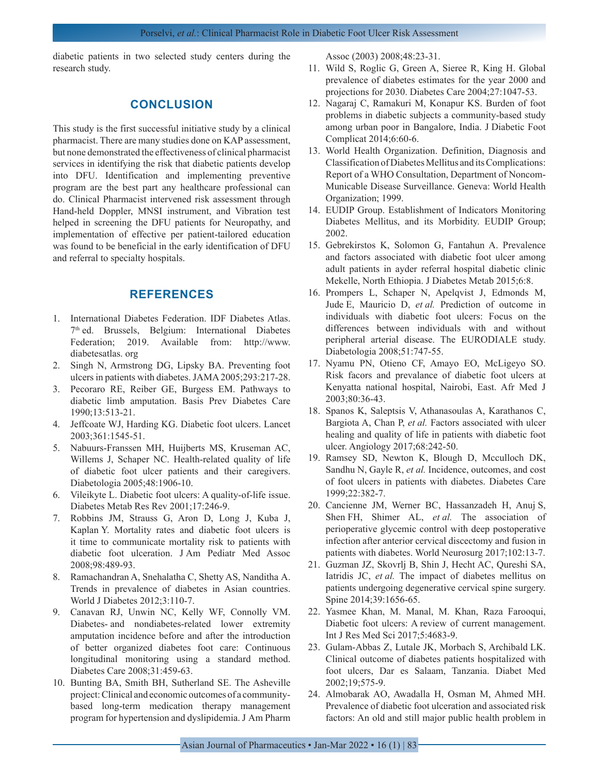diabetic patients in two selected study centers during the research study.

# **CONCLUSION**

This study is the first successful initiative study by a clinical pharmacist. There are many studies done on KAP assessment, but none demonstrated the effectiveness of clinical pharmacist services in identifying the risk that diabetic patients develop into DFU. Identification and implementing preventive program are the best part any healthcare professional can do. Clinical Pharmacist intervened risk assessment through Hand-held Doppler, MNSI instrument, and Vibration test helped in screening the DFU patients for Neuropathy, and implementation of effective per patient-tailored education was found to be beneficial in the early identification of DFU and referral to specialty hospitals.

# **REFERENCES**

- 1. International Diabetes Federation. IDF Diabetes Atlas. 7th ed. Brussels, Belgium: International Diabetes Federation; 2019. Available from: http://www. diabetesatlas. org
- 2. Singh N, Armstrong DG, Lipsky BA. Preventing foot ulcers in patients with diabetes. JAMA 2005;293:217-28.
- 3. Pecoraro RE, Reiber GE, Burgess EM. Pathways to diabetic limb amputation. Basis Prev Diabetes Care 1990;13:513-21.
- 4. Jeffcoate WJ, Harding KG. Diabetic foot ulcers. Lancet 2003;361:1545-51.
- 5. Nabuurs-Franssen MH, Huijberts MS, Kruseman AC, Willems J, Schaper NC. Health-related quality of life of diabetic foot ulcer patients and their caregivers. Diabetologia 2005;48:1906-10.
- 6. Vileikyte L. Diabetic foot ulcers: A quality-of-life issue. Diabetes Metab Res Rev 2001;17:246-9.
- 7. Robbins JM, Strauss G, Aron D, Long J, Kuba J, Kaplan Y. Mortality rates and diabetic foot ulcers is it time to communicate mortality risk to patients with diabetic foot ulceration. J Am Pediatr Med Assoc 2008;98:489-93.
- 8. Ramachandran A, Snehalatha C, Shetty AS, Nanditha A. Trends in prevalence of diabetes in Asian countries. World J Diabetes 2012;3:110-7.
- 9. Canavan RJ, Unwin NC, Kelly WF, Connolly VM. Diabetes- and nondiabetes-related lower extremity amputation incidence before and after the introduction of better organized diabetes foot care: Continuous longitudinal monitoring using a standard method. Diabetes Care 2008;31:459-63.
- 10. Bunting BA, Smith BH, Sutherland SE. The Asheville project: Clinical and economic outcomes of a communitybased long-term medication therapy management program for hypertension and dyslipidemia. J Am Pharm

Assoc (2003) 2008;48:23-31.

- 11. Wild S, Roglic G, Green A, Sieree R, King H. Global prevalence of diabetes estimates for the year 2000 and projections for 2030. Diabetes Care 2004;27:1047-53.
- 12. Nagaraj C, Ramakuri M, Konapur KS. Burden of foot problems in diabetic subjects a community-based study among urban poor in Bangalore, India. J Diabetic Foot Complicat 2014;6:60-6.
- 13. World Health Organization. Definition, Diagnosis and Classification of Diabetes Mellitus and its Complications: Report of a WHO Consultation, Department of Noncom-Municable Disease Surveillance. Geneva: World Health Organization; 1999.
- 14. EUDIP Group. Establishment of Indicators Monitoring Diabetes Mellitus, and its Morbidity. EUDIP Group; 2002.
- 15. Gebrekirstos K, Solomon G, Fantahun A. Prevalence and factors associated with diabetic foot ulcer among adult patients in ayder referral hospital diabetic clinic Mekelle, North Ethiopia. J Diabetes Metab 2015;6:8.
- 16. Prompers L, Schaper N, Apelqvist J, Edmonds M, Jude E, Mauricio D, *et al.* Prediction of outcome in individuals with diabetic foot ulcers: Focus on the differences between individuals with and without peripheral arterial disease. The EURODIALE study. Diabetologia 2008;51:747-55.
- 17. Nyamu PN, Otieno CF, Amayo EO, McLigeyo SO. Risk facors and prevalance of diabetic foot ulcers at Kenyatta national hospital, Nairobi, East. Afr Med J 2003;80:36-43.
- 18. Spanos K, Saleptsis V, Athanasoulas A, Karathanos C, Bargiota A, Chan P, *et al.* Factors associated with ulcer healing and quality of life in patients with diabetic foot ulcer. Angiology 2017;68:242-50.
- 19. Ramsey SD, Newton K, Blough D, Mcculloch DK, Sandhu N, Gayle R, *et al.* Incidence, outcomes, and cost of foot ulcers in patients with diabetes. Diabetes Care 1999;22:382-7.
- 20. Cancienne JM, Werner BC, Hassanzadeh H, Anuj S, Shen FH, Shimer AL, *et al.* The association of perioperative glycemic control with deep postoperative infection after anterior cervical discectomy and fusion in patients with diabetes. World Neurosurg 2017;102:13-7.
- 21. Guzman JZ, Skovrlj B, Shin J, Hecht AC, Qureshi SA, Iatridis JC, *et al.* The impact of diabetes mellitus on patients undergoing degenerative cervical spine surgery. Spine 2014;39:1656-65.
- 22. Yasmee Khan, M. Manal, M. Khan, Raza Farooqui, Diabetic foot ulcers: A review of current management. Int J Res Med Sci 2017;5:4683-9.
- 23. Gulam-Abbas Z, Lutale JK, Morbach S, Archibald LK. Clinical outcome of diabetes patients hospitalized with foot ulcers, Dar es Salaam, Tanzania. Diabet Med 2002;19;575-9.
- 24. Almobarak AO, Awadalla H, Osman M, Ahmed MH. Prevalence of diabetic foot ulceration and associated risk factors: An old and still major public health problem in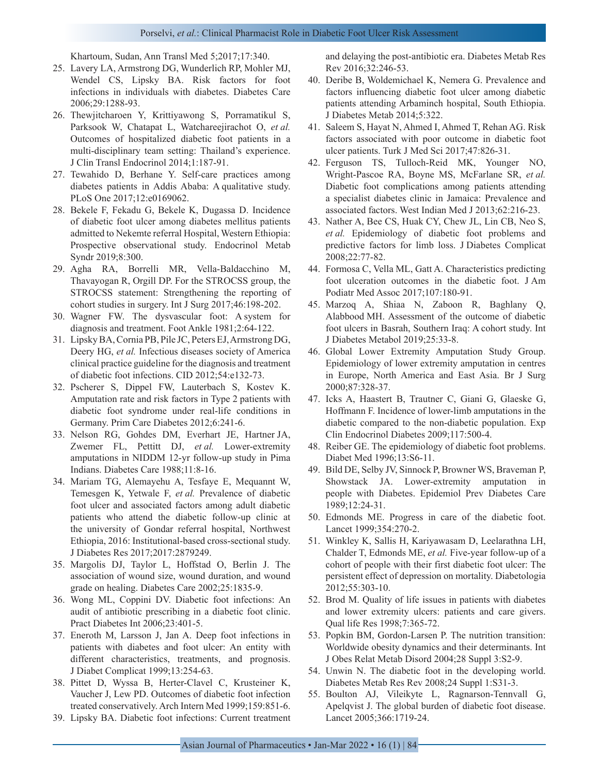#### Porselvi, et al.: Clinical Pharmacist Role in Diabetic Foot Ulcer Risk Assessment

Khartoum, Sudan, Ann Transl Med 5;2017;17:340.

- 25. Lavery LA, Armstrong DG, Wunderlich RP, Mohler MJ, Wendel CS, Lipsky BA. Risk factors for foot infections in individuals with diabetes. Diabetes Care 2006;29:1288-93.
- 26. Thewjitcharoen Y, Krittiyawong S, Porramatikul S, Parksook W, Chatapat L, Watchareejirachot O, *et al.* Outcomes of hospitalized diabetic foot patients in a multi-disciplinary team setting: Thailand's experience. J Clin Transl Endocrinol 2014;1:187-91.
- 27. Tewahido D, Berhane Y. Self-care practices among diabetes patients in Addis Ababa: A qualitative study. PLoS One 2017;12:e0169062.
- 28. Bekele F, Fekadu G, Bekele K, Dugassa D. Incidence of diabetic foot ulcer among diabetes mellitus patients admitted to Nekemte referral Hospital, Western Ethiopia: Prospective observational study. Endocrinol Metab Syndr 2019;8:300.
- 29. Agha RA, Borrelli MR, Vella-Baldacchino M, Thavayogan R, Orgill DP. For the STROCSS group, the STROCSS statement: Strengthening the reporting of cohort studies in surgery. Int J Surg 2017;46:198-202.
- 30. Wagner FW. The dysvascular foot: A system for diagnosis and treatment. Foot Ankle 1981;2:64-122.
- 31. Lipsky BA, Cornia PB, Pile JC, Peters EJ, Armstrong DG, Deery HG, *et al.* Infectious diseases society of America clinical practice guideline for the diagnosis and treatment of diabetic foot infections. CID 2012;54:e132-73.
- 32. Pscherer S, Dippel FW, Lauterbach S, Kostev K. Amputation rate and risk factors in Type 2 patients with diabetic foot syndrome under real-life conditions in Germany. Prim Care Diabetes 2012;6:241-6.
- 33. Nelson RG, Gohdes DM, Everhart JE, Hartner JA, Zwemer FL, Pettitt DJ, *et al.* Lower-extremity amputations in NIDDM 12-yr follow-up study in Pima Indians. Diabetes Care 1988;11:8-16.
- 34. Mariam TG, Alemayehu A, Tesfaye E, Mequannt W, Temesgen K, Yetwale F, *et al.* Prevalence of diabetic foot ulcer and associated factors among adult diabetic patients who attend the diabetic follow-up clinic at the university of Gondar referral hospital, Northwest Ethiopia, 2016: Institutional-based cross-sectional study. J Diabetes Res 2017;2017:2879249.
- 35. Margolis DJ, Taylor L, Hoffstad O, Berlin J. The association of wound size, wound duration, and wound grade on healing. Diabetes Care 2002;25:1835-9.
- 36. Wong ML, Coppini DV. Diabetic foot infections: An audit of antibiotic prescribing in a diabetic foot clinic. Pract Diabetes Int 2006;23:401-5.
- 37. Eneroth M, Larsson J, Jan A. Deep foot infections in patients with diabetes and foot ulcer: An entity with different characteristics, treatments, and prognosis. J Diabet Complicat 1999;13:254-63.
- 38. Pittet D, Wyssa B, Herter-Clavel C, Krusteiner K, Vaucher J, Lew PD. Outcomes of diabetic foot infection treated conservatively. Arch Intern Med 1999;159:851-6.
- 39. Lipsky BA. Diabetic foot infections: Current treatment

and delaying the post-antibiotic era. Diabetes Metab Res Rev 2016;32:246-53.

- 40. Deribe B, Woldemichael K, Nemera G. Prevalence and factors influencing diabetic foot ulcer among diabetic patients attending Arbaminch hospital, South Ethiopia. J Diabetes Metab 2014;5:322.
- 41. Saleem S, Hayat N, Ahmed I, Ahmed T, Rehan AG. Risk factors associated with poor outcome in diabetic foot ulcer patients. Turk J Med Sci 2017;47:826-31.
- 42. Ferguson TS, Tulloch-Reid MK, Younger NO, Wright-Pascoe RA, Boyne MS, McFarlane SR, *et al.* Diabetic foot complications among patients attending a specialist diabetes clinic in Jamaica: Prevalence and associated factors. West Indian Med J 2013;62:216-23.
- 43. Nather A, Bee CS, Huak CY, Chew JL, Lin CB, Neo S, *et al.* Epidemiology of diabetic foot problems and predictive factors for limb loss. J Diabetes Complicat 2008;22:77-82.
- 44. Formosa C, Vella ML, Gatt A. Characteristics predicting foot ulceration outcomes in the diabetic foot. J Am Podiatr Med Assoc 2017;107:180-91.
- 45. Marzoq A, Shiaa N, Zaboon R, Baghlany Q, Alabbood MH. Assessment of the outcome of diabetic foot ulcers in Basrah, Southern Iraq: A cohort study. Int J Diabetes Metabol 2019;25:33-8.
- 46. Global Lower Extremity Amputation Study Group. Epidemiology of lower extremity amputation in centres in Europe, North America and East Asia. Br J Surg 2000;87:328-37.
- 47. Icks A, Haastert B, Trautner C, Giani G, Glaeske G, Hoffmann F. Incidence of lower-limb amputations in the diabetic compared to the non-diabetic population. Exp Clin Endocrinol Diabetes 2009;117:500-4.
- 48. Reiber GE. The epidemiology of diabetic foot problems. Diabet Med 1996;13:S6-11.
- 49. Bild DE, Selby JV, Sinnock P, Browner WS, Braveman P, Showstack JA. Lower-extremity amputation in people with Diabetes. Epidemiol Prev Diabetes Care 1989;12:24-31.
- 50. Edmonds ME. Progress in care of the diabetic foot. Lancet 1999;354:270-2.
- 51. Winkley K, Sallis H, Kariyawasam D, Leelarathna LH, Chalder T, Edmonds ME, *et al.* Five-year follow-up of a cohort of people with their first diabetic foot ulcer: The persistent effect of depression on mortality. Diabetologia 2012;55:303-10.
- 52. Brod M. Quality of life issues in patients with diabetes and lower extremity ulcers: patients and care givers. Qual life Res 1998;7:365-72.
- 53. Popkin BM, Gordon-Larsen P. The nutrition transition: Worldwide obesity dynamics and their determinants. Int J Obes Relat Metab Disord 2004;28 Suppl 3:S2-9.
- 54. Unwin N. The diabetic foot in the developing world. Diabetes Metab Res Rev 2008;24 Suppl 1:S31-3.
- 55. Boulton AJ, Vileikyte L, Ragnarson-Tennvall G, Apelqvist J. The global burden of diabetic foot disease. Lancet 2005;366:1719-24.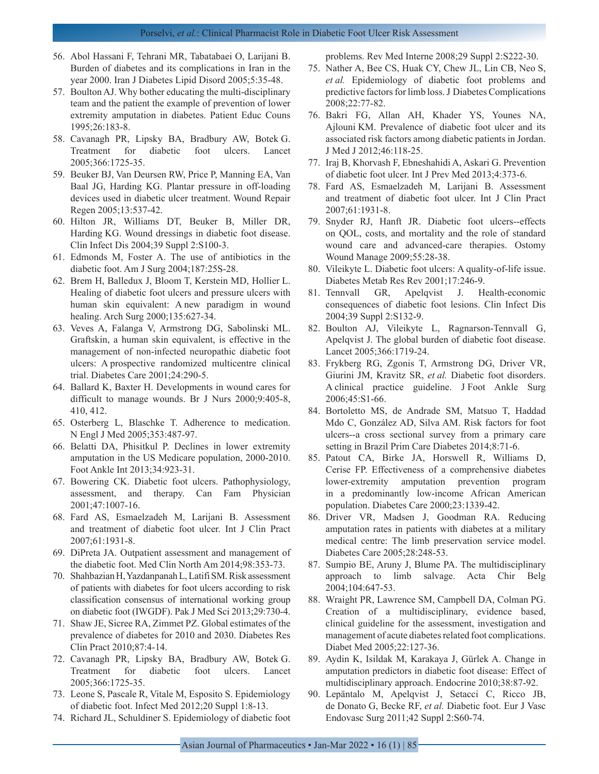- 56. Abol Hassani F, Tehrani MR, Tabatabaei O, Larijani B. Burden of diabetes and its complications in Iran in the year 2000. Iran J Diabetes Lipid Disord 2005;5:35-48.
- 57. Boulton AJ. Why bother educating the multi-disciplinary team and the patient the example of prevention of lower extremity amputation in diabetes. Patient Educ Couns 1995;26:183-8.
- 58. Cavanagh PR, Lipsky BA, Bradbury AW, Botek G. Treatment for diabetic foot ulcers. Lancet 2005;366:1725-35.
- 59. Beuker BJ, Van Deursen RW, Price P, Manning EA, Van Baal JG, Harding KG. Plantar pressure in off-loading devices used in diabetic ulcer treatment. Wound Repair Regen 2005;13:537-42.
- 60. Hilton JR, Williams DT, Beuker B, Miller DR, Harding KG. Wound dressings in diabetic foot disease. Clin Infect Dis 2004;39 Suppl 2:S100-3.
- 61. Edmonds M, Foster A. The use of antibiotics in the diabetic foot. Am J Surg 2004;187:25S-28.
- 62. Brem H, Balledux J, Bloom T, Kerstein MD, Hollier L. Healing of diabetic foot ulcers and pressure ulcers with human skin equivalent: A new paradigm in wound healing. Arch Surg 2000;135:627-34.
- 63. Veves A, Falanga V, Armstrong DG, Sabolinski ML. Graftskin, a human skin equivalent, is effective in the management of non-infected neuropathic diabetic foot ulcers: A prospective randomized multicentre clinical trial. Diabetes Care 2001;24:290-5.
- 64. Ballard K, Baxter H. Developments in wound cares for difficult to manage wounds. Br J Nurs 2000;9:405-8, 410, 412.
- 65. Osterberg L, Blaschke T. Adherence to medication. N Engl J Med 2005;353:487-97.
- 66. Belatti DA, Phisitkul P. Declines in lower extremity amputation in the US Medicare population, 2000-2010. Foot Ankle Int 2013;34:923-31.
- 67. Bowering CK. Diabetic foot ulcers. Pathophysiology, assessment, and therapy. Can Fam Physician 2001;47:1007-16.
- 68. Fard AS, Esmaelzadeh M, Larijani B. Assessment and treatment of diabetic foot ulcer. Int J Clin Pract 2007;61:1931-8.
- 69. DiPreta JA. Outpatient assessment and management of the diabetic foot. Med Clin North Am 2014;98:353-73.
- 70. Shahbazian H, Yazdanpanah L, Latifi SM. Risk assessment of patients with diabetes for foot ulcers according to risk classification consensus of international working group on diabetic foot (IWGDF). Pak J Med Sci 2013;29:730-4.
- 71. Shaw JE, Sicree RA, Zimmet PZ. Global estimates of the prevalence of diabetes for 2010 and 2030. Diabetes Res Clin Pract 2010;87:4-14.
- 72. Cavanagh PR, Lipsky BA, Bradbury AW, Botek G. Treatment for diabetic foot ulcers. Lancet 2005;366:1725-35.
- 73. Leone S, Pascale R, Vitale M, Esposito S. Epidemiology of diabetic foot. Infect Med 2012;20 Suppl 1:8-13.
- 74. Richard JL, Schuldiner S. Epidemiology of diabetic foot

problems. Rev Med Interne 2008;29 Suppl 2:S222-30.

- 75. Nather A, Bee CS, Huak CY, Chew JL, Lin CB, Neo S, *et al.* Epidemiology of diabetic foot problems and predictive factors for limb loss. J Diabetes Complications 2008;22:77-82.
- 76. Bakri FG, Allan AH, Khader YS, Younes NA, Ajlouni KM. Prevalence of diabetic foot ulcer and its associated risk factors among diabetic patients in Jordan. J Med J 2012;46:118-25.
- 77. Iraj B, Khorvash F, Ebneshahidi A, Askari G. Prevention of diabetic foot ulcer. Int J Prev Med 2013;4:373-6.
- 78. Fard AS, Esmaelzadeh M, Larijani B. Assessment and treatment of diabetic foot ulcer. Int J Clin Pract 2007;61:1931-8.
- 79. Snyder RJ, Hanft JR. Diabetic foot ulcers--effects on QOL, costs, and mortality and the role of standard wound care and advanced-care therapies. Ostomy Wound Manage 2009;55:28-38.
- 80. Vileikyte L. Diabetic foot ulcers: A quality-of-life issue. Diabetes Metab Res Rev 2001;17:246-9.
- 81. Tennvall GR, Apelqvist J. Health-economic consequences of diabetic foot lesions. Clin Infect Dis 2004;39 Suppl 2:S132-9.
- 82. Boulton AJ, Vileikyte L, Ragnarson-Tennvall G, Apelqvist J. The global burden of diabetic foot disease. Lancet 2005;366:1719-24.
- 83. Frykberg RG, Zgonis T, Armstrong DG, Driver VR, Giurini JM, Kravitz SR, *et al.* Diabetic foot disorders. A clinical practice guideline. J Foot Ankle Surg 2006;45:S1-66.
- 84. Bortoletto MS, de Andrade SM, Matsuo T, Haddad Mdo C, González AD, Silva AM. Risk factors for foot ulcers--a cross sectional survey from a primary care setting in Brazil Prim Care Diabetes 2014;8:71-6.
- 85. Patout CA, Birke JA, Horswell R, Williams D, Cerise FP. Effectiveness of a comprehensive diabetes lower-extremity amputation prevention program in a predominantly low-income African American population. Diabetes Care 2000;23:1339-42.
- 86. Driver VR, Madsen J, Goodman RA. Reducing amputation rates in patients with diabetes at a military medical centre: The limb preservation service model. Diabetes Care 2005;28:248-53.
- 87. Sumpio BE, Aruny J, Blume PA. The multidisciplinary approach to limb salvage. Acta Chir Belg 2004;104:647-53.
- 88. Wraight PR, Lawrence SM, Campbell DA, Colman PG. Creation of a multidisciplinary, evidence based, clinical guideline for the assessment, investigation and management of acute diabetes related foot complications. Diabet Med 2005;22:127-36.
- 89. Aydin K, Isildak M, Karakaya J, Gürlek A. Change in amputation predictors in diabetic foot disease: Effect of multidisciplinary approach. Endocrine 2010;38:87-92.
- 90. Lepäntalo M, Apelqvist J, Setacci C, Ricco JB, de Donato G, Becke RF, *et al.* Diabetic foot. Eur J Vasc Endovasc Surg 2011;42 Suppl 2:S60-74.